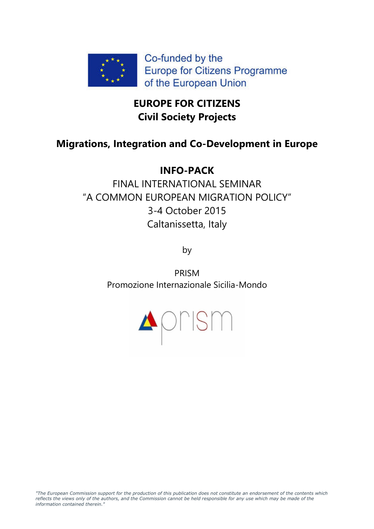

# **EUROPE FOR CITIZENS Civil Society Projects**

## **Migrations, Integration and Co-Development in Europe**

# **INFO-PACK**

FINAL INTERNATIONAL SEMINAR "A COMMON EUROPEAN MIGRATION POLICY" 3-4 October 2015 Caltanissetta, Italy

by

PRISM Promozione Internazionale Sicilia-Mondo

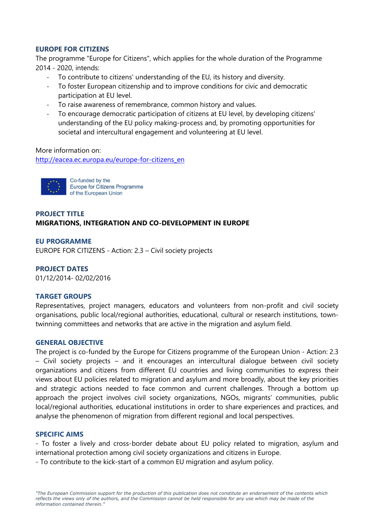## **EUROPE FOR CITIZENS**

The programme "Europe for Citizens", which applies for the whole duration of the Programme 2014 - 2020, intends:

- To contribute to citizens' understanding of the EU, its history and diversity.
- To foster European citizenship and to improve conditions for civic and democratic participation at EU level.
- To raise awareness of remembrance, common history and values.
- To encourage democratic participation of citizens at EU level, by developing citizens' understanding of the EU policy making-process and, by promoting opportunities for societal and intercultural engagement and volunteering at EU level.

More information on:

http://eacea.ec.europa.eu/europe-for-citizens\_en



Co-funded by the Europe for Citizens Programme of the European Union

## **PROJECT TITLE MIGRATIONS, INTEGRATION AND CO-DEVELOPMENT IN EUROPE**

**EU PROGRAMME** 

EUROPE FOR CITIZENS - Action: 2.3 – Civil society projects

**PROJECT DATES** 01/12/2014- 02/02/2016

#### **TARGET GROUPS**

Representatives, project managers, educators and volunteers from non-profit and civil society organisations, public local/regional authorities, educational, cultural or research institutions, towntwinning committees and networks that are active in the migration and asylum field.

#### **GENERAL OBJECTIVE**

The project is co-funded by the Europe for Citizens programme of the European Union - Action: 2.3 – Civil society projects – and it encourages an intercultural dialogue between civil society organizations and citizens from different EU countries and living communities to express their views about EU policies related to migration and asylum and more broadly, about the key priorities and strategic actions needed to face common and current challenges. Through a bottom up approach the project involves civil society organizations, NGOs, migrants' communities, public local/regional authorities, educational institutions in order to share experiences and practices, and analyse the phenomenon of migration from different regional and local perspectives.

#### **SPECIFIC AIMS**

- To foster a lively and cross-border debate about EU policy related to migration, asylum and international protection among civil society organizations and citizens in Europe.

- To contribute to the kick-start of a common EU migration and asylum policy.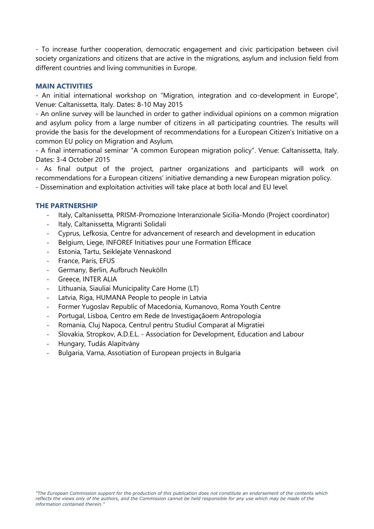- To increase further cooperation, democratic engagement and civic participation between civil society organizations and citizens that are active in the migrations, asylum and inclusion field from different countries and living communities in Europe.

## **MAIN ACTIVITIES**

- An initial international workshop on "Migration, integration and co-development in Europe", Venue: Caltanissetta, Italy. Dates: 8-10 May 2015

- An online survey will be launched in order to gather individual opinions on a common migration and asylum policy from a large number of citizens in all participating countries. The results will provide the basis for the development of recommendations for a European Citizen's Initiative on a common EU policy on Migration and Asylum.

- A final international seminar "A common European migration policy". Venue: Caltanissetta, Italy. Dates: 3-4 October 2015

- As final output of the project, partner organizations and participants will work on recommendations for a European citizens' initiative demanding a new European migration policy.

- Dissemination and exploitation activities will take place at both local and EU level.

## **THE PARTNERSHIP**

- Italy, Caltanissetta, PRISM-Promozione Interanzionale Sicilia-Mondo (Project coordinator)
- Italy, Caltanissetta, Migranti Solidali
- Cyprus, Lefkosia, Centre for advancement of research and development in education
- Belgium, Liege, INFOREF Initiatives pour une Formation Efficace
- Estonia, Tartu, Seiklejate Vennaskond
- France, Paris, EFUS
- Germany, Berlin, Aufbruch Neukölln
- Greece, INTER ALIA
- Lithuania, Siauliai Municipality Care Home (LT)
- Latvia, Riga, HUMANA People to people in Latvia
- Former Yugoslav Republic of Macedonia, Kumanovo, Roma Youth Centre
- Portugal, Lisboa, Centro em Rede de Investigaçãoem Antropologia
- Romania, Cluj Napoca, Centrul pentru Studiul Comparat al Migratiei
- Slovakia, Stropkov, A.D.E.L. Association for Development, Education and Labour
- Hungary, Tudás Alapítvány
- Bulgaria, Varna, Assotiation of European projects in Bulgaria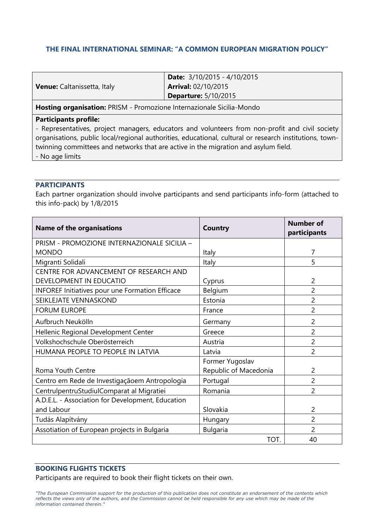## **THE FINAL INTERNATIONAL SEMINAR: "A COMMON EUROPEAN MIGRATION POLICY"**

| <b>Venue:</b> Caltanissetta, Italy                                    | <b>Date:</b> $3/10/2015 - 4/10/2015$ |  |
|-----------------------------------------------------------------------|--------------------------------------|--|
|                                                                       | <b>Arrival: 02/10/2015</b>           |  |
|                                                                       | <b>Departure: 5/10/2015</b>          |  |
| Hosting organisation: PRISM - Promozione Internazionale Sicilia-Mondo |                                      |  |

#### **Participants profile:**

- Representatives, project managers, educators and volunteers from non-profit and civil society organisations, public local/regional authorities, educational, cultural or research institutions, towntwinning committees and networks that are active in the migration and asylum field. - No age limits

**PARTICIPANTS** 

Each partner organization should involve participants and send participants info-form (attached to this info-pack) by 1/8/2015

| <b>Name of the organisations</b>                       | <b>Country</b>        | <b>Number of</b><br>participants |
|--------------------------------------------------------|-----------------------|----------------------------------|
| PRISM - PROMOZIONE INTERNAZIONALE SICILIA -            |                       |                                  |
| <b>MONDO</b>                                           | Italy                 | 7                                |
| Migranti Solidali                                      | Italy                 | 5                                |
| CENTRE FOR ADVANCEMENT OF RESEARCH AND                 |                       |                                  |
| DEVELOPMENT IN EDUCATIO                                | Cyprus                | 2                                |
| <b>INFOREF Initiatives pour une Formation Efficace</b> | Belgium               | $\overline{2}$                   |
| SEIKLEJATE VENNASKOND                                  | Estonia               | $\overline{2}$                   |
| <b>FORUM EUROPE</b>                                    | France                | $\overline{2}$                   |
| Aufbruch Neukölln                                      | Germany               | $\overline{2}$                   |
| Hellenic Regional Development Center                   | Greece                | $\overline{2}$                   |
| Volkshochschule Oberösterreich                         | Austria               | 2                                |
| HUMANA PEOPLE TO PEOPLE IN LATVIA                      | Latvia                | 2                                |
|                                                        | Former Yugoslav       |                                  |
| Roma Youth Centre                                      | Republic of Macedonia | $\overline{2}$                   |
| Centro em Rede de Investigaçãoem Antropologia          | Portugal              | $\overline{2}$                   |
| CentrulpentruStudiulComparat al Migratiei              | Romania               | 2                                |
| A.D.E.L. - Association for Development, Education      |                       |                                  |
| and Labour                                             | Slovakia              | 2                                |
| Tudás Alapítvány                                       | Hungary               | $\overline{2}$                   |
| Assotiation of European projects in Bulgaria           | <b>Bulgaria</b>       | 2                                |
|                                                        | TOT.                  | 40                               |

## **BOOKING FLIGHTS TICKETS**

Participants are required to book their flight tickets on their own.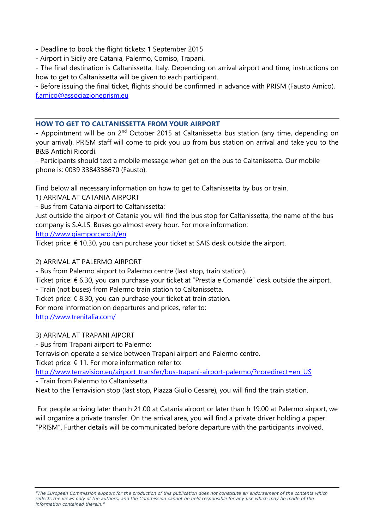- Deadline to book the flight tickets: 1 September 2015

- Airport in Sicily are Catania, Palermo, Comiso, Trapani.

- The final destination is Caltanissetta, Italy. Depending on arrival airport and time, instructions on how to get to Caltanissetta will be given to each participant.

- Before issuing the final ticket, flights should be confirmed in advance with PRISM (Fausto Amico), f.amico@associazioneprism.eu

## **HOW TO GET TO CALTANISSETTA FROM YOUR AIRPORT**

- Appointment will be on 2<sup>nd</sup> October 2015 at Caltanissetta bus station (any time, depending on your arrival). PRISM staff will come to pick you up from bus station on arrival and take you to the B&B Antichi Ricordi.

- Participants should text a mobile message when get on the bus to Caltanissetta. Our mobile phone is: 0039 3384338670 (Fausto).

Find below all necessary information on how to get to Caltanissetta by bus or train.

1) ARRIVAL AT CATANIA AIRPORT

- Bus from Catania airport to Caltanissetta:

Just outside the airport of Catania you will find the bus stop for Caltanissetta, the name of the bus company is S.A.I.S. Buses go almost every hour. For more information:

http://www.giamporcaro.it/en

Ticket price: € 10.30, you can purchase your ticket at SAIS desk outside the airport.

## 2) ARRIVAL AT PALERMO AIRPORT

- Bus from Palermo airport to Palermo centre (last stop, train station).

Ticket price: € 6.30, you can purchase your ticket at "Prestia e Comandè" desk outside the airport. - Train (not buses) from Palermo train station to Caltanissetta.

Ticket price:  $\epsilon$  8.30, you can purchase your ticket at train station.

For more information on departures and prices, refer to:

http://www.trenitalia.com/

3) ARRIVAL AT TRAPANI AIPORT

- Bus from Trapani airport to Palermo:

Terravision operate a service between Trapani airport and Palermo centre.

Ticket price:  $€ 11$ . For more information refer to:

http://www.terravision.eu/airport\_transfer/bus-trapani-airport-palermo/?noredirect=en\_US

- Train from Palermo to Caltanissetta

Next to the Terravision stop (last stop, Piazza Giulio Cesare), you will find the train station.

 For people arriving later than h 21.00 at Catania airport or later than h 19.00 at Palermo airport, we will organize a private transfer. On the arrival area, you will find a private driver holding a paper: "PRISM". Further details will be communicated before departure with the participants involved.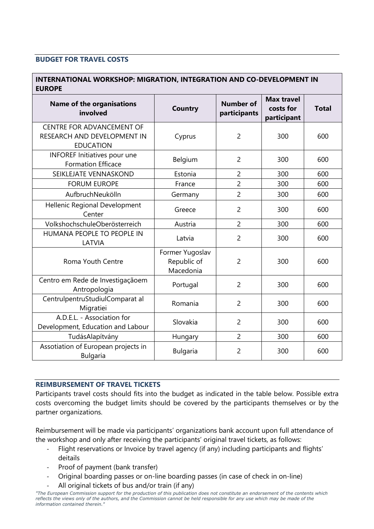## **BUDGET FOR TRAVEL COSTS**

## **INTERNATIONAL WORKSHOP: MIGRATION, INTEGRATION AND CO-DEVELOPMENT IN EUROPE**

| <b>Name of the organisations</b><br>involved                                        | Country                                     | <b>Number of</b><br>participants | <b>Max travel</b><br>costs for<br>participant | <b>Total</b> |
|-------------------------------------------------------------------------------------|---------------------------------------------|----------------------------------|-----------------------------------------------|--------------|
| <b>CENTRE FOR ADVANCEMENT OF</b><br>RESEARCH AND DEVELOPMENT IN<br><b>EDUCATION</b> | Cyprus                                      | $\overline{2}$                   | 300                                           | 600          |
| <b>INFOREF Initiatives pour une</b><br><b>Formation Efficace</b>                    | Belgium                                     | $\overline{2}$                   | 300                                           | 600          |
| SEIKLEJATE VENNASKOND                                                               | Estonia                                     | $\overline{2}$                   | 300                                           | 600          |
| <b>FORUM EUROPE</b>                                                                 | France                                      | $\overline{2}$                   | 300                                           | 600          |
| AufbruchNeukölln                                                                    | Germany                                     | $\overline{2}$                   | 300                                           | 600          |
| Hellenic Regional Development<br>Center                                             | Greece                                      | $\overline{2}$                   | 300                                           | 600          |
| VolkshochschuleOberösterreich                                                       | Austria                                     | $\overline{2}$                   | 300                                           | 600          |
| HUMANA PEOPLE TO PEOPLE IN<br>LATVIA                                                | Latvia                                      | $\overline{2}$                   | 300                                           | 600          |
| Roma Youth Centre                                                                   | Former Yugoslav<br>Republic of<br>Macedonia | $\overline{2}$                   | 300                                           | 600          |
| Centro em Rede de Investigaçãoem<br>Antropologia                                    | Portugal                                    | $\overline{2}$                   | 300                                           | 600          |
| CentrulpentruStudiulComparat al<br>Migratiei                                        | Romania                                     | $\overline{2}$                   | 300                                           | 600          |
| A.D.E.L. - Association for<br>Development, Education and Labour                     | Slovakia                                    | $\overline{2}$                   | 300                                           | 600          |
| TudásAlapítvány                                                                     | Hungary                                     | $\overline{2}$                   | 300                                           | 600          |
| Assotiation of European projects in<br><b>Bulgaria</b>                              | <b>Bulgaria</b>                             | $\overline{2}$                   | 300                                           | 600          |

## **REIMBURSEMENT OF TRAVEL TICKETS**

Participants travel costs should fits into the budget as indicated in the table below. Possible extra costs overcoming the budget limits should be covered by the participants themselves or by the partner organizations.

Reimbursement will be made via participants' organizations bank account upon full attendance of the workshop and only after receiving the participants' original travel tickets, as follows:

- Flight reservations or Invoice by travel agency (if any) including participants and flights' deitails
- Proof of payment (bank transfer)
- Original boarding passes or on-line boarding passes (in case of check in on-line)
- All original tickets of bus and/or train (if any)

*<sup>&</sup>quot;The European Commission support for the production of this publication does not constitute an endorsement of the contents which reflects the views only of the authors, and the Commission cannot be held responsible for any use which may be made of the information contained therein."*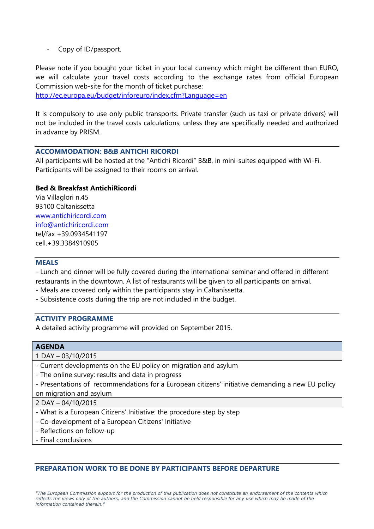- Copy of ID/passport.

Please note if you bought your ticket in your local currency which might be different than EURO, we will calculate your travel costs according to the exchange rates from official European Commission web-site for the month of ticket purchase:

http://ec.europa.eu/budget/inforeuro/index.cfm?Language=en

It is compulsory to use only public transports. Private transfer (such us taxi or private drivers) will not be included in the travel costs calculations, unless they are specifically needed and authorized in advance by PRISM.

## **ACCOMMODATION: B&B ANTICHI RICORDI**

All participants will be hosted at the "Antichi Ricordi" B&B, in mini-suites equipped with Wi-Fi. Participants will be assigned to their rooms on arrival.

## **Bed & Breakfast AntichiRicordi**

Via Villaglori n.45 93100 Caltanissetta www.antichiricordi.com info@antichiricordi.com tel/fax +39.0934541197 cell.+39.3384910905

### **MEALS**

- Lunch and dinner will be fully covered during the international seminar and offered in different restaurants in the downtown. A list of restaurants will be given to all participants on arrival.

- Meals are covered only within the participants stay in Caltanissetta.
- Subsistence costs during the trip are not included in the budget.

### **ACTIVITY PROGRAMME**

A detailed activity programme will provided on September 2015.

#### **AGENDA**

|  |  |  | 1 DAY - 03/10/2015 |  |
|--|--|--|--------------------|--|
|--|--|--|--------------------|--|

- Current developments on the EU policy on migration and asylum
- The online survey: results and data in progress

- Presentations of recommendations for a European citizens' initiative demanding a new EU policy on migration and asylum

2 DAY – 04/10/2015

- What is a European Citizens' Initiative: the procedure step by step
- Co-development of a European Citizens' Initiative
- Reflections on follow-up
- Final conclusions

#### **PREPARATION WORK TO BE DONE BY PARTICIPANTS BEFORE DEPARTURE**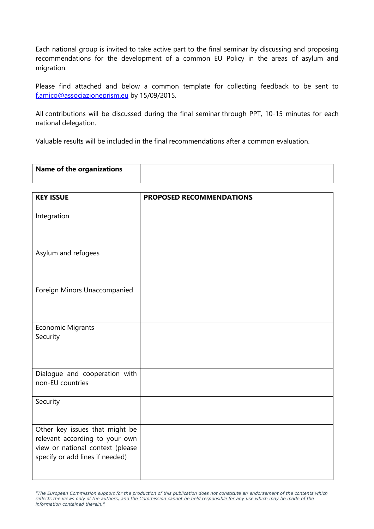Each national group is invited to take active part to the final seminar by discussing and proposing recommendations for the development of a common EU Policy in the areas of asylum and migration.

Please find attached and below a common template for collecting feedback to be sent to f.amico@associazioneprism.eu by 15/09/2015.

All contributions will be discussed during the final seminar through PPT, 10-15 minutes for each national delegation.

Valuable results will be included in the final recommendations after a common evaluation.

| <b>Name of the organizations</b> |  |
|----------------------------------|--|
|                                  |  |

| <b>KEY ISSUE</b>                                                                                                                        | <b>PROPOSED RECOMMENDATIONS</b> |
|-----------------------------------------------------------------------------------------------------------------------------------------|---------------------------------|
| Integration                                                                                                                             |                                 |
| Asylum and refugees                                                                                                                     |                                 |
| Foreign Minors Unaccompanied                                                                                                            |                                 |
| Economic Migrants<br>Security                                                                                                           |                                 |
| Dialogue and cooperation with<br>non-EU countries                                                                                       |                                 |
| Security                                                                                                                                |                                 |
| Other key issues that might be<br>relevant according to your own<br>view or national context (please<br>specify or add lines if needed) |                                 |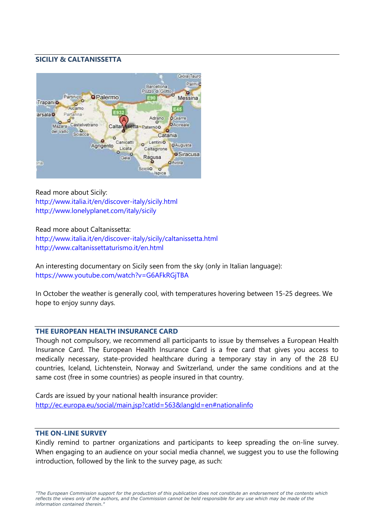### **SICILIY & CALTANISSETTA**



Read more about Sicily: http://www.italia.it/en/discover-italy/sicily.html http://www.lonelyplanet.com/italy/sicily

#### Read more about Caltanissetta:

http://www.italia.it/en/discover-italy/sicily/caltanissetta.html http://www.caltanissettaturismo.it/en.html

An interesting documentary on Sicily seen from the sky (only in Italian language): https://www.youtube.com/watch?v=G6AFkRGjTBA

In October the weather is generally cool, with temperatures hovering between 15-25 degrees. We hope to enjoy sunny days.

#### **THE EUROPEAN HEALTH INSURANCE CARD**

Though not compulsory, we recommend all participants to issue by themselves a European Health Insurance Card. The European Health Insurance Card is a free card that gives you access to medically necessary, state-provided healthcare during a temporary stay in any of the 28 EU countries, Iceland, Lichtenstein, Norway and Switzerland, under the same conditions and at the same cost (free in some countries) as people insured in that country.

Cards are issued by your national health insurance provider: http://ec.europa.eu/social/main.jsp?catId=563&langId=en#nationalinfo

#### **THE ON-LINE SURVEY**

Kindly remind to partner organizations and participants to keep spreading the on-line survey. When engaging to an audience on your social media channel, we suggest you to use the following introduction, followed by the link to the survey page, as such: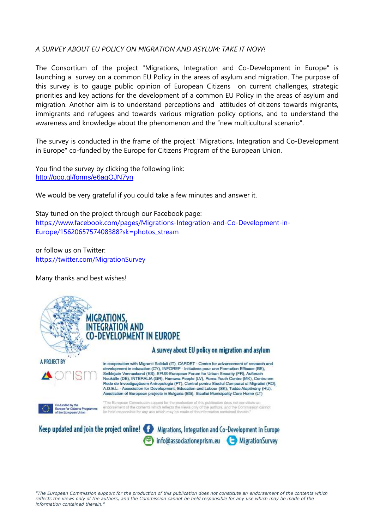## *A SURVEY ABOUT EU POLICY ON MIGRATION AND ASYLUM: TAKE IT NOW!*

The Consortium of the project "Migrations, Integration and Co-Development in Europe" is launching a survey on a common EU Policy in the areas of asylum and migration. The purpose of this survey is to gauge public opinion of European Citizens on current challenges, strategic priorities and key actions for the development of a common EU Policy in the areas of asylum and migration. Another aim is to understand perceptions and attitudes of citizens towards migrants, immigrants and refugees and towards various migration policy options, and to understand the awareness and knowledge about the phenomenon and the "new multicultural scenario".

The survey is conducted in the frame of the project "Migrations, Integration and Co-Development in Europe" co-funded by the Europe for Citizens Program of the European Union.

You find the survey by clicking the following link: http://goo.gl/forms/e6agQJN7yn

We would be very grateful if you could take a few minutes and answer it.

Stay tuned on the project through our Facebook page: https://www.facebook.com/pages/Migrations-Integration-and-Co-Development-in-Europe/1562065757408388?sk=photos\_stream

or follow us on Twitter: https://twitter.com/MigrationSurvey

Many thanks and best wishes!